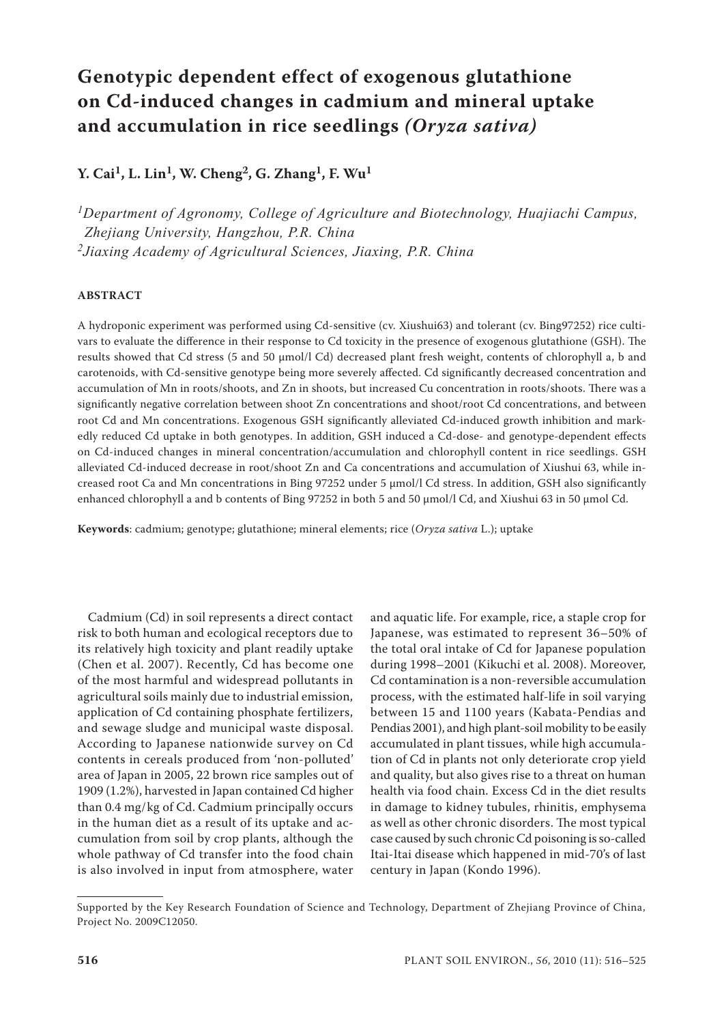# **Genotypic dependent effect of exogenous glutathione on Cd-induced changes in cadmium and mineral uptake and accumulation in rice seedlings** *(Oryza sativa)*

## **Y. Cai1, L. Lin1, W. Cheng2, G. Zhang1, F. Wu1**

*1Department of Agronomy, College of Agriculture and Biotechnology, Huajiachi Campus, Zhejiang University, Hangzhou, P.R. China 2Jiaxing Academy of Agricultural Sciences, Jiaxing, P.R. China*

### **ABSTRACT**

A hydroponic experiment was performed using Cd-sensitive (cv. Xiushui63) and tolerant (cv. Bing97252) rice cultivars to evaluate the difference in their response to Cd toxicity in the presence of exogenous glutathione (GSH). The results showed that Cd stress (5 and 50 μmol/l Cd) decreased plant fresh weight, contents of chlorophyll a, b and carotenoids, with Cd-sensitive genotype being more severely affected. Cd significantly decreased concentration and accumulation of Mn in roots/shoots, and Zn in shoots, but increased Cu concentration in roots/shoots. There was a significantly negative correlation between shoot Zn concentrations and shoot/root Cd concentrations, and between root Cd and Mn concentrations. Exogenous GSH significantly alleviated Cd-induced growth inhibition and markedly reduced Cd uptake in both genotypes. In addition, GSH induced a Cd-dose- and genotype-dependent effects on Cd-induced changes in mineral concentration/accumulation and chlorophyll content in rice seedlings. GSH alleviated Cd-induced decrease in root/shoot Zn and Ca concentrations and accumulation of Xiushui 63, while increased root Ca and Mn concentrations in Bing 97252 under 5  $\mu$ mol/l Cd stress. In addition, GSH also significantly enhanced chlorophyll a and b contents of Bing 97252 in both 5 and 50 µmol/l Cd, and Xiushui 63 in 50 µmol Cd.

**Keywords**: cadmium; genotype; glutathione; mineral elements; rice (*Oryza sativa* L.); uptake

Cadmium (Cd) in soil represents a direct contact risk to both human and ecological receptors due to its relatively high toxicity and plant readily uptake (Chen et al. 2007). Recently, Cd has become one of the most harmful and widespread pollutants in agricultural soils mainly due to industrial emission, application of Cd containing phosphate fertilizers, and sewage sludge and municipal waste disposal. According to Japanese nationwide survey on Cd contents in cereals produced from 'non-polluted' area of Japan in 2005, 22 brown rice samples out of 1909 (1.2%), harvested in Japan contained Cd higher than 0.4 mg/kg of Cd. Cadmium principally occurs in the human diet as a result of its uptake and accumulation from soil by crop plants, although the whole pathway of Cd transfer into the food chain is also involved in input from atmosphere, water

and aquatic life. For example, rice, a staple crop for Japanese, was estimated to represent 36–50% of the total oral intake of Cd for Japanese population during 1998–2001 (Kikuchi et al. 2008). Moreover, Cd contamination is a non-reversible accumulation process, with the estimated half-life in soil varying between 15 and 1100 years (Kabata-Pendias and Pendias 2001), and high plant-soil mobility to be easily accumulated in plant tissues, while high accumulation of Cd in plants not only deteriorate crop yield and quality, but also gives rise to a threat on human health via food chain. Excess Cd in the diet results in damage to kidney tubules, rhinitis, emphysema as well as other chronic disorders. The most typical case caused by such chronic Cd poisoning is so-called Itai-Itai disease which happened in mid-70's of last century in Japan (Kondo 1996).

Supported by the Key Research Foundation of Science and Technology, Department of Zhejiang Province of China, Project No. 2009C12050.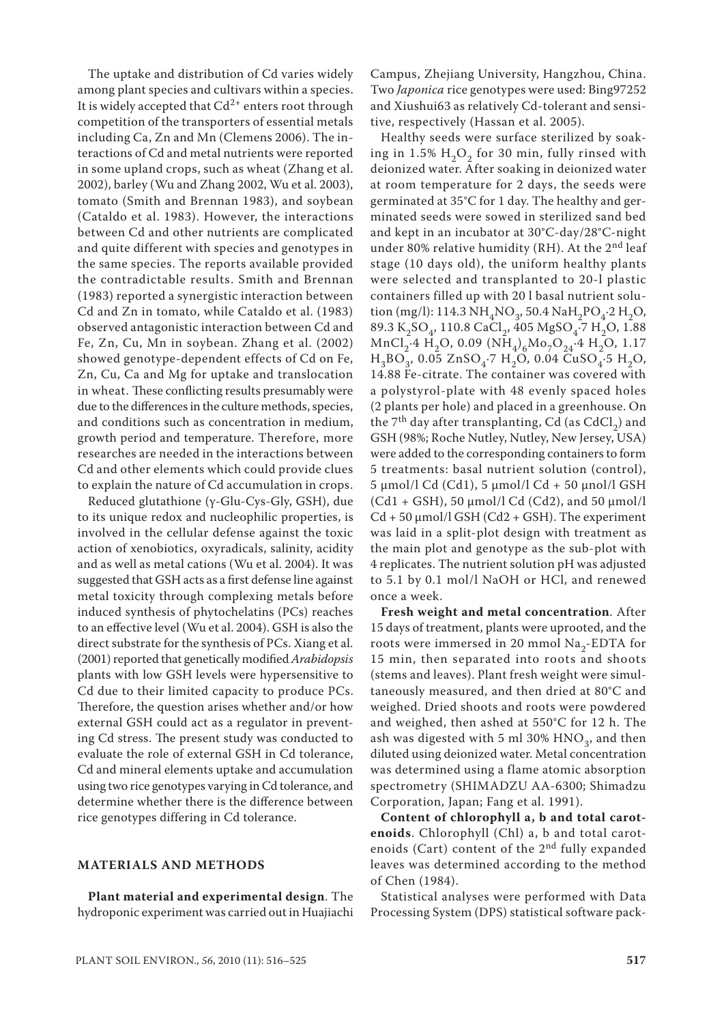The uptake and distribution of Cd varies widely among plant species and cultivars within a species. It is widely accepted that  $Cd^{2+}$  enters root through competition of the transporters of essential metals including Ca, Zn and Mn (Clemens 2006). The interactions of Cd and metal nutrients were reported in some upland crops, such as wheat (Zhang et al. 2002), barley (Wu and Zhang 2002, Wu et al. 2003), tomato (Smith and Brennan 1983), and soybean (Cataldo et al. 1983). However, the interactions between Cd and other nutrients are complicated and quite different with species and genotypes in the same species. The reports available provided the contradictable results. Smith and Brennan (1983) reported a synergistic interaction between Cd and Zn in tomato, while Cataldo et al. (1983) observed antagonistic interaction between Cd and Fe, Zn, Cu, Mn in soybean. Zhang et al. (2002) showed genotype-dependent effects of Cd on Fe, Zn, Cu, Ca and Mg for uptake and translocation in wheat. These conflicting results presumably were due to the differences in the culture methods, species, and conditions such as concentration in medium, growth period and temperature. Therefore, more researches are needed in the interactions between Cd and other elements which could provide clues to explain the nature of Cd accumulation in crops.

Reduced glutathione (γ-Glu-Cys-Gly, GSH), due to its unique redox and nucleophilic properties, is involved in the cellular defense against the toxic action of xenobiotics, oxyradicals, salinity, acidity and as well as metal cations (Wu et al. 2004). It was suggested that GSH acts as a first defense line against metal toxicity through complexing metals before induced synthesis of phytochelatins (PCs) reaches to an effective level (Wu et al. 2004). GSH is also the direct substrate for the synthesis of PCs. Xiang et al. (2001) reported that genetically modified *Arabidopsis* plants with low GSH levels were hypersensitive to Cd due to their limited capacity to produce PCs. Therefore, the question arises whether and/or how external GSH could act as a regulator in preventing Cd stress. The present study was conducted to evaluate the role of external GSH in Cd tolerance, Cd and mineral elements uptake and accumulation using two rice genotypes varying in Cd tolerance, and determine whether there is the difference between rice genotypes differing in Cd tolerance.

#### **MATERIALS AND METHODS**

**Plant material and experimental design**. The hydroponic experiment was carried out in Huajiachi Campus, Zhejiang University, Hangzhou, China. Two *Japonica* rice genotypes were used: Bing97252 and Xiushui63 as relatively Cd-tolerant and sensitive, respectively (Hassan et al. 2005).

Healthy seeds were surface sterilized by soaking in 1.5%  $H<sub>2</sub>O<sub>2</sub>$  for 30 min, fully rinsed with deionized water. After soaking in deionized water at room temperature for 2 days, the seeds were germinated at 35°C for 1 day. The healthy and germinated seeds were sowed in sterilized sand bed and kept in an incubator at 30°C-day/28°C-night under 80% relative humidity (RH). At the  $2<sup>nd</sup>$  leaf stage (10 days old), the uniform healthy plants were selected and transplanted to 20-l plastic containers filled up with 20 l basal nutrient solution (mg/l): 114.3 NH<sub>4</sub>NO<sub>3</sub>, 50.4 NaH<sub>2</sub>PO<sub>4</sub>.2 H<sub>2</sub>O, 89.3 K<sub>2</sub>SO<sub>4</sub>, 110.8 CaCl<sub>2</sub>, 405 MgSO<sub>4</sub> $\cdot$ 7 H<sub>2</sub>O, 1.88 MnCl<sub>2</sub>⋅4 H<sub>2</sub>O, 0.09 (NH<sub>4</sub>)<sub>6</sub>Mo<sub>7</sub>O<sub>24</sub>⋅4 H<sub>2</sub>O, 1.17  $H_3BO_3$ , 0.05 ZnSO<sub>4</sub>⋅7 H<sub>2</sub>O, 0.04 CuSO<sub>4</sub>⋅5 H<sub>2</sub>O, 14.88 Fe-citrate. The container was covered with a polystyrol-plate with 48 evenly spaced holes (2 plants per hole) and placed in a greenhouse. On the  $7<sup>th</sup>$  day after transplanting, Cd (as CdCl<sub>2</sub>) and GSH (98%; Roche Nutley, Nutley, New Jersey, USA) were added to the corresponding containers to form 5 treatments: basal nutrient solution (control), 5 µmol/l Cd (Cd1), 5 µmol/l Cd + 50 µnol/l GSH  $(Cd1 + GSH)$ , 50  $\mu$ mol/l Cd (Cd2), and 50  $\mu$ mol/l  $Cd + 50 \mu mol/l GSH (Cd2 + GSH)$ . The experiment was laid in a split-plot design with treatment as the main plot and genotype as the sub-plot with 4 replicates. The nutrient solution pH was adjusted to 5.1 by 0.1 mol/l NaOH or HCl, and renewed once a week.

**Fresh weight and metal concentration**. After 15 days of treatment, plants were uprooted, and the roots were immersed in 20 mmol  $\text{Na}_2$ -EDTA for 15 min, then separated into roots and shoots (stems and leaves). Plant fresh weight were simultaneously measured, and then dried at 80°C and weighed. Dried shoots and roots were powdered and weighed, then ashed at 550°C for 12 h. The ash was digested with 5 ml 30%  $HNO<sub>2</sub>$ , and then diluted using deionized water. Metal concentration was determined using a flame atomic absorption spectrometry (SHIMADZU AA-6300; Shimadzu Corporation, Japan; Fang et al. 1991).

**Content of chlorophyll a, b and total carotenoids**. Chlorophyll (Chl) a, b and total carotenoids (Cart) content of the 2<sup>nd</sup> fully expanded leaves was determined according to the method of Chen (1984).

Statistical analyses were performed with Data Processing System (DPS) statistical software pack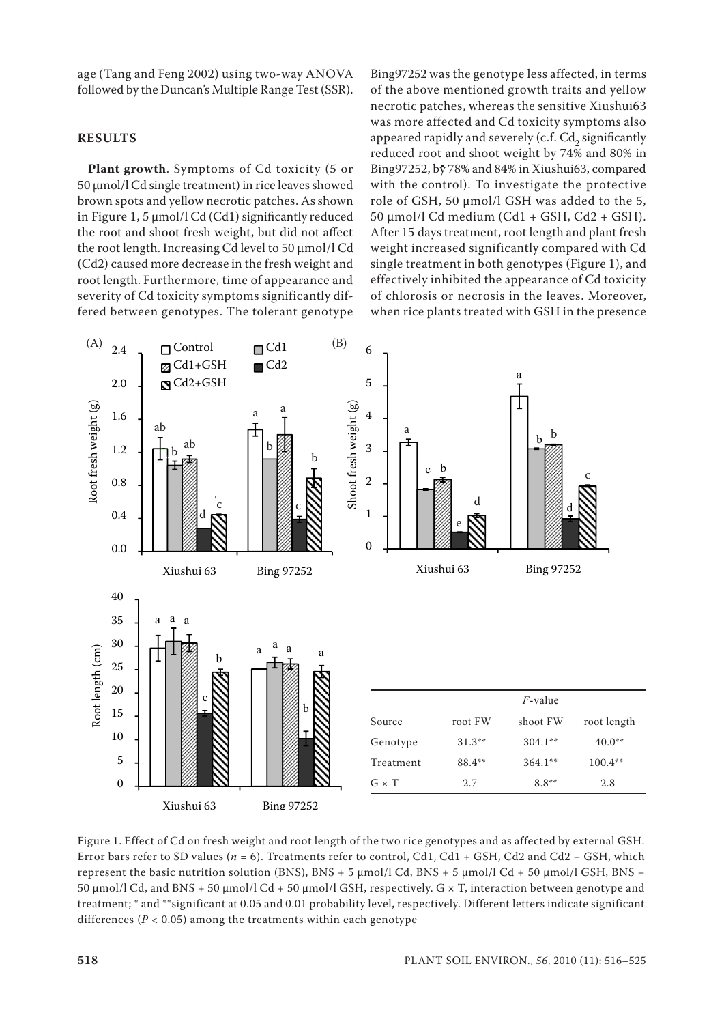age (Tang and Feng 2002) using two-way ANOVA followed by the Duncan's Multiple Range Test (SSR).

### **RESULTS**

**Plant growth**. Symptoms of Cd toxicity (5 or 50 μmol/l Cd single treatment) in rice leaves showed brown spots and yellow necrotic patches. As shown in Figure 1, 5 μmol/l Cd (Cd1) significantly reduced the root and shoot fresh weight, but did not affect the root length. Increasing Cd level to 50 μmol/l Cd (Cd2) caused more decrease in the fresh weight and root length. Furthermore, time of appearance and severity of Cd toxicity symptoms significantly differed between genotypes. The tolerant genotype

Bing97252 was the genotype less affected, in terms of the above mentioned growth traits and yellow necrotic patches, whereas the sensitive Xiushui63 was more affected and Cd toxicity symptoms also appeared rapidly and severely (c.f.  $Cd_2$  significantly reduced root and shoot weight by 74% and 80% in Bing97252, by 78% and 84% in Xiushui63, compared with the control). To investigate the protective role of GSH, 50 μmol/l GSH was added to the 5, 50 μmol/l Cd medium (Cd1 + GSH, Cd2 + GSH). After 15 days treatment, root length and plant fresh weight increased significantly compared with Cd single treatment in both genotypes (Figure 1), and effectively inhibited the appearance of Cd toxicity of chlorosis or necrosis in the leaves. Moreover, when rice plants treated with GSH in the presence



Figure 1. Effect of Cd on fresh weight and root length of the two rice genotypes and as affected by external GSH. Error bars refer to SD values ( $n = 6$ ). Treatments refer to control, Cd1, Cd1 + GSH, Cd2 and Cd2 + GSH, which represent the basic nutrition solution (BNS), BNS + 5  $\mu$ mol/l Cd, BNS + 5  $\mu$ mol/l Cd + 50  $\mu$ mol/l GSH, BNS + 50 µmol/l Cd, and BNS + 50 µmol/l Cd + 50 µmol/l GSH, respectively. G × T, interaction between genotype and treatment; \* and \*\*significant at 0.05 and 0.01 probability level, respectively. Different letters indicate significant differences ( $P < 0.05$ ) among the treatments within each genotype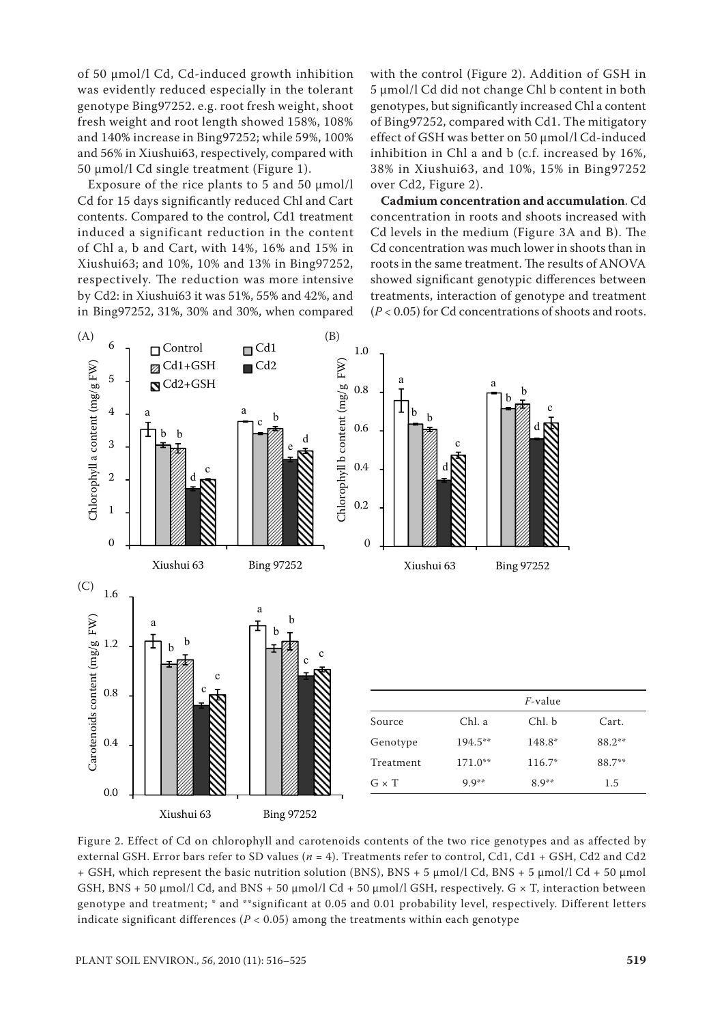of 50 μmol/l Cd, Cd-induced growth inhibition was evidently reduced especially in the tolerant genotype Bing97252. e.g. root fresh weight, shoot fresh weight and root length showed 158%, 108% and 140% increase in Bing97252; while 59%, 100% and 56% in Xiushui63, respectively, compared with 50 μmol/l Cd single treatment (Figure 1).

Exposure of the rice plants to 5 and 50  $\mu$ mol/l Cd for 15 days significantly reduced Chl and Cart contents. Compared to the control, Cd1 treatment induced a significant reduction in the content of Chl a, b and Cart, with 14%, 16% and 15% in Xiushui63; and 10%, 10% and 13% in Bing97252, respectively. The reduction was more intensive by Cd2: in Xiushui63 it was 51%, 55% and 42%, and in Bing97252, 31%, 30% and 30%, when compared with the control (Figure 2). Addition of GSH in 5 μmol/l Cd did not change Chl b content in both genotypes, but significantly increased Chl a content of Bing97252, compared with Cd1. The mitigatory effect of GSH was better on 50 μmol/l Cd-induced inhibition in Chl a and b (c.f. increased by 16%, 38% in Xiushui63, and 10%, 15% in Bing97252 over Cd2, Figure 2).

**Cadmium concentration and accumulation**. Cd concentration in roots and shoots increased with Cd levels in the medium (Figure 3A and B). The Cd concentration was much lower in shoots than in roots in the same treatment. The results of ANOVA showed significant genotypic differences between treatments, interaction of genotype and treatment (*P* < 0.05) for Cd concentrations of shoots and roots.



Figure 2. Effect of Cd on chlorophyll and carotenoids contents of the two rice genotypes and as affected by external GSH. Error bars refer to SD values ( $n = 4$ ). Treatments refer to control, Cd1, Cd1 + GSH, Cd2 and Cd2 + GSH, which represent the basic nutrition solution (BNS), BNS + 5  $\mu$ mol/l Cd, BNS + 5  $\mu$ mol/l Cd + 50  $\mu$ mol GSH, BNS + 50  $\mu$ mol/l Cd, and BNS + 50  $\mu$ mol/l Cd + 50  $\mu$ mol/l GSH, respectively. G  $\times$  T, interaction between genotype and treatment; \* and \*\*significant at 0.05 and 0.01 probability level, respectively. Different letters indicate significant differences ( $P < 0.05$ ) among the treatments within each genotype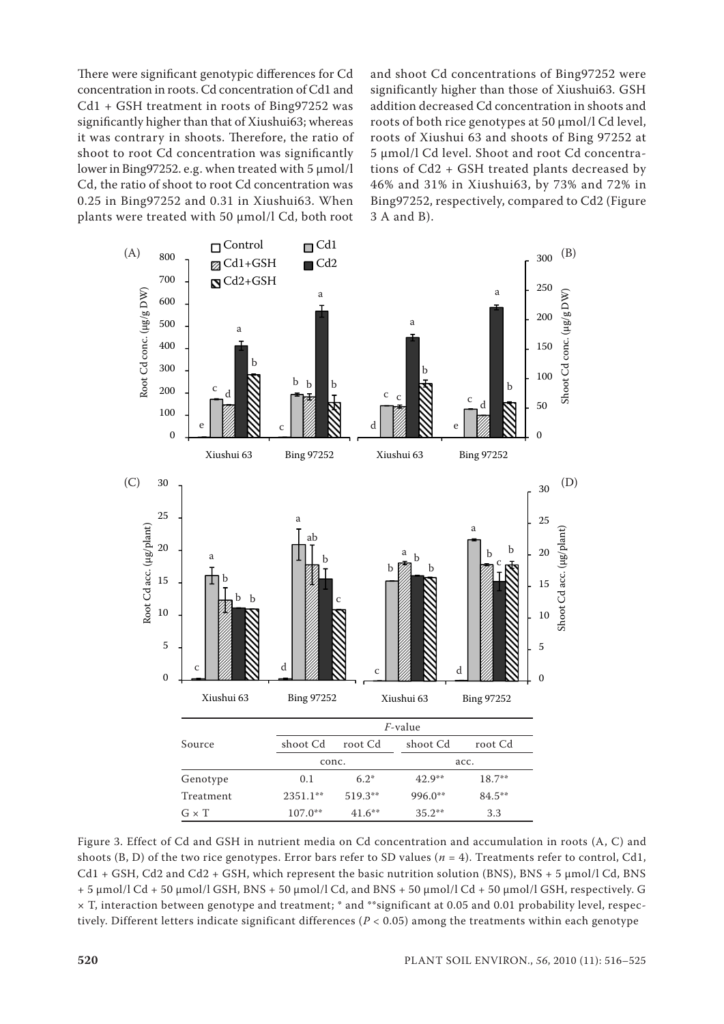There were significant genotypic differences for Cd concentration in roots. Cd concentration of Cd1 and Cd1 + GSH treatment in roots of Bing97252 was significantly higher than that of Xiushui63; whereas it was contrary in shoots. Therefore, the ratio of shoot to root Cd concentration was significantly lower in Bing97252. e.g. when treated with 5 μmol/l Cd, the ratio of shoot to root Cd concentration was 0.25 in Bing97252 and 0.31 in Xiushui63. When plants were treated with 50 μmol/l Cd, both root

and shoot Cd concentrations of Bing97252 were significantly higher than those of Xiushui63. GSH addition decreased Cd concentration in shoots and roots of both rice genotypes at 50 μmol/l Cd level, roots of Xiushui 63 and shoots of Bing 97252 at 5 μmol/l Cd level. Shoot and root Cd concentrations of Cd2 + GSH treated plants decreased by 46% and 31% in Xiushui63, by 73% and 72% in Bing97252, respectively, compared to Cd2 (Figure 3 A and B).



Figure 3. Effect of Cd and GSH in nutrient media on Cd concentration and accumulation in roots (A, C) and shoots (B, D) of the two rice genotypes. Error bars refer to SD values (*n* = 4). Treatments refer to control, Cd1,  $Cd1 + GSH$ ,  $Cd2$  and  $Cd2 + GSH$ , which represent the basic nutrition solution (BNS), BNS + 5  $\mu$ mol/l Cd, BNS + 5 µmol/l Cd + 50 µmol/l GSH, BNS + 50 µmol/l Cd, and BNS + 50 µmol/l Cd + 50 µmol/l GSH, respectively. G × T, interaction between genotype and treatment; \* and \*\*significant at 0.05 and 0.01 probability level, respectively. Different letters indicate significant differences ( $P < 0.05$ ) among the treatments within each genotype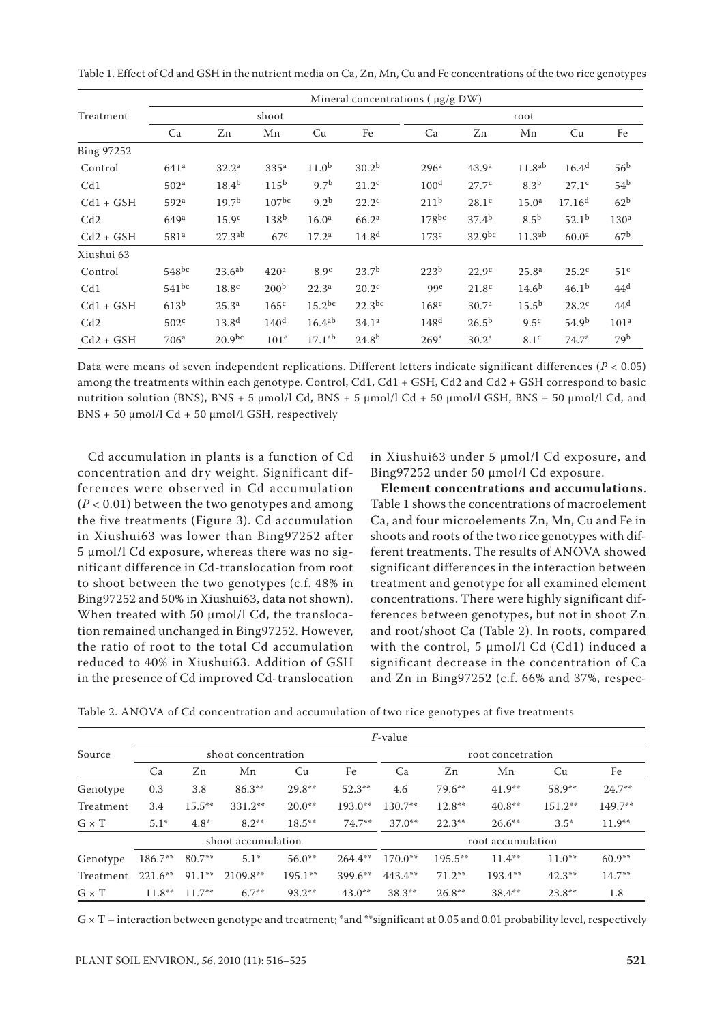|                   | Mineral concentrations ( $\mu$ g/g DW) |                    |                  |                    |                   |                  |                   |                    |                    |                  |  |  |  |
|-------------------|----------------------------------------|--------------------|------------------|--------------------|-------------------|------------------|-------------------|--------------------|--------------------|------------------|--|--|--|
| Treatment         |                                        |                    | shoot            |                    |                   | root             |                   |                    |                    |                  |  |  |  |
|                   | Ca                                     | Zn                 | Mn               | Cu                 | Fe                | Ca               | Zn                | Mn                 | Cu                 | Fe               |  |  |  |
| <b>Bing 97252</b> |                                        |                    |                  |                    |                   |                  |                   |                    |                    |                  |  |  |  |
| Control           | 641 <sup>a</sup>                       | 32.2 <sup>a</sup>  | 335 <sup>a</sup> | 11.0 <sup>b</sup>  | 30.2 <sup>b</sup> | 296 <sup>a</sup> | 43.9 <sup>a</sup> | 11.8 <sup>ab</sup> | $16.4^d$           | 56 <sup>b</sup>  |  |  |  |
| Cd1               | 502 <sup>a</sup>                       | $18.4^{b}$         | 115 <sup>b</sup> | 9.7 <sup>b</sup>   | $21.2^{\circ}$    | 100 <sup>d</sup> | 27.7 <sup>c</sup> | 8.3 <sup>b</sup>   | 27.1 <sup>c</sup>  | 54 <sup>b</sup>  |  |  |  |
| $Cd1 + GSH$       | 592 <sup>a</sup>                       | 19.7 <sup>b</sup>  | $107^{bc}$       | 9.2 <sup>b</sup>   | $22.2^{\circ}$    | 211 <sup>b</sup> | 28.1 <sup>c</sup> | 15.0 <sup>a</sup>  | 17.16 <sup>d</sup> | 62 <sup>b</sup>  |  |  |  |
| Cd2               | 649 <sup>a</sup>                       | 15.9 <sup>c</sup>  | 138 <sup>b</sup> | 16.0 <sup>a</sup>  | 66.2 <sup>a</sup> | $178^{bc}$       | $37.4^{b}$        | 8.5 <sup>b</sup>   | $52.1^{b}$         | 130 <sup>a</sup> |  |  |  |
| $Cd2 + GSH$       | 581 <sup>a</sup>                       | 27.3 <sup>ab</sup> | 67 <sup>c</sup>  | 17.2 <sup>a</sup>  | 14.8 <sup>d</sup> | 173 <sup>c</sup> | $32.9^{bc}$       | 11.3 <sup>ab</sup> | 60.0 <sup>a</sup>  | 67 <sup>b</sup>  |  |  |  |
| Xiushui 63        |                                        |                    |                  |                    |                   |                  |                   |                    |                    |                  |  |  |  |
| Control           | $548^{bc}$                             | $23.6^{ab}$        | 420 <sup>a</sup> | 8.9 <sup>c</sup>   | 23.7 <sup>b</sup> | 223 <sup>b</sup> | 22.9 <sup>c</sup> | 25.8 <sup>a</sup>  | 25.2 <sup>c</sup>  | 51 <sup>c</sup>  |  |  |  |
| Cd1               | $541^{bc}$                             | 18.8 <sup>c</sup>  | 200 <sup>b</sup> | 22.3 <sup>a</sup>  | $20.2^{\circ}$    | 99 <sup>e</sup>  | 21.8 <sup>c</sup> | $14.6^{b}$         | 46.1 <sup>b</sup>  | 44 <sup>d</sup>  |  |  |  |
| $Cd1 + GSH$       | 613 <sup>b</sup>                       | 25.3 <sup>a</sup>  | 165 <sup>c</sup> | $15.2^{bc}$        | $22.3^{bc}$       | 168 <sup>c</sup> | 30.7 <sup>a</sup> | $15.5^{\rm b}$     | $28.2^{\circ}$     | 44 <sup>d</sup>  |  |  |  |
| Cd2               | 502 <sup>c</sup>                       | $13.8^{d}$         | 140 <sup>d</sup> | $16.4^{ab}$        | 34.1 <sup>a</sup> | 148 <sup>d</sup> | $26.5^{b}$        | 9.5 <sup>c</sup>   | 54.9 <sup>b</sup>  | 101 <sup>a</sup> |  |  |  |
| $Cd2 + GSH$       | 706 <sup>a</sup>                       | $20.9^{bc}$        | 101 <sup>e</sup> | 17.1 <sup>ab</sup> | $24.8^{b}$        | 269 <sup>a</sup> | 30.2 <sup>a</sup> | 8.1 <sup>c</sup>   | 74.7 <sup>a</sup>  | 79 <sup>b</sup>  |  |  |  |

Table 1. Effect of Cd and GSH in the nutrient media on Ca, Zn, Mn, Cu and Fe concentrations of the two rice genotypes

Data were means of seven independent replications. Different letters indicate significant differences (*P* < 0.05) among the treatments within each genotype. Control, Cd1, Cd1 + GSH, Cd2 and Cd2 + GSH correspond to basic nutrition solution (BNS), BNS + 5  $\mu$ mol/l Cd, BNS + 5  $\mu$ mol/l Cd + 50  $\mu$ mol/l GSH, BNS + 50  $\mu$ mol/l Cd, and  $BNS + 50 \mu mol/l Cd + 50 \mu mol/l GSH$ , respectively

Cd accumulation in plants is a function of Cd concentration and dry weight. Significant differences were observed in Cd accumulation (*P* < 0.01) between the two genotypes and among the five treatments (Figure 3). Cd accumulation in Xiushui63 was lower than Bing97252 after 5 μmol/l Cd exposure, whereas there was no significant difference in Cd-translocation from root to shoot between the two genotypes (c.f. 48% in Bing97252 and 50% in Xiushui63, data not shown). When treated with 50 μmol/l Cd, the translocation remained unchanged in Bing97252. However, the ratio of root to the total Cd accumulation reduced to 40% in Xiushui63. Addition of GSH in the presence of Cd improved Cd-translocation

in Xiushui63 under 5 μmol/l Cd exposure, and Bing97252 under 50 μmol/l Cd exposure.

**Element concentrations and accumulations**. Table 1 shows the concentrations of macroelement Ca, and four microelements Zn, Mn, Cu and Fe in shoots and roots of the two rice genotypes with different treatments. The results of ANOVA showed significant differences in the interaction between treatment and genotype for all examined element concentrations. There were highly significant differences between genotypes, but not in shoot Zn and root/shoot Ca (Table 2). In roots, compared with the control, 5  $\mu$ mol/l Cd (Cd1) induced a significant decrease in the concentration of Ca and Zn in Bing97252 (c.f. 66% and 37%, respec-

Table 2. ANOVA of Cd concentration and accumulation of two rice genotypes at five treatments

|              | <i>F</i> -value |           |                     |           |            |                   |            |           |           |           |  |  |  |
|--------------|-----------------|-----------|---------------------|-----------|------------|-------------------|------------|-----------|-----------|-----------|--|--|--|
| Source       |                 |           | shoot concentration |           |            | root concetration |            |           |           |           |  |  |  |
|              | Ca              | Zn        | Mn                  | Cu        | Fe         | Ca                | Zn         | Mn        | Cu        | Fe        |  |  |  |
| Genotype     | 0.3             | 3.8       | $86.3**$            | $29.8**$  | $52.3**$   | 4.6               | $79.6***$  | $41.9**$  | $58.9**$  | $24.7***$ |  |  |  |
| Treatment    | 3.4             | $15.5***$ | $331.2**$           | $20.0**$  | $193.0**$  | $130.7**$         | $12.8**$   | $40.8**$  | $151.2**$ | $149.7**$ |  |  |  |
| $G \times T$ | $5.1*$          | $4.8*$    | $8.2***$            | $18.5***$ | $74.7**$   | $37.0**$          | $22.3***$  | $26.6***$ | $3.5*$    | $11.9***$ |  |  |  |
|              |                 |           | shoot accumulation  |           |            | root accumulation |            |           |           |           |  |  |  |
| Genotype     | $186.7**$       | $80.7**$  | $5.1*$              | $56.0**$  | $264.4***$ | $170.0**$         | $195.5***$ | $11.4***$ | $11.0**$  | $60.9**$  |  |  |  |
| Treatment    | $221.6***$      | $91.1***$ | $2109.8**$          | $195.1**$ | $399.6**$  | $443.4**$         | $71.2**$   | $193.4**$ | $42.3**$  | $14.7***$ |  |  |  |
| $G \times T$ | $11.8**$        | $11.7***$ | $6.7***$            | $93.2**$  | $43.0**$   | $38.3**$          | $26.8**$   | $38.4***$ | $23.8**$  | 1.8       |  |  |  |

 $G \times T$  – interaction between genotype and treatment; \*and \*\*significant at 0.05 and 0.01 probability level, respectively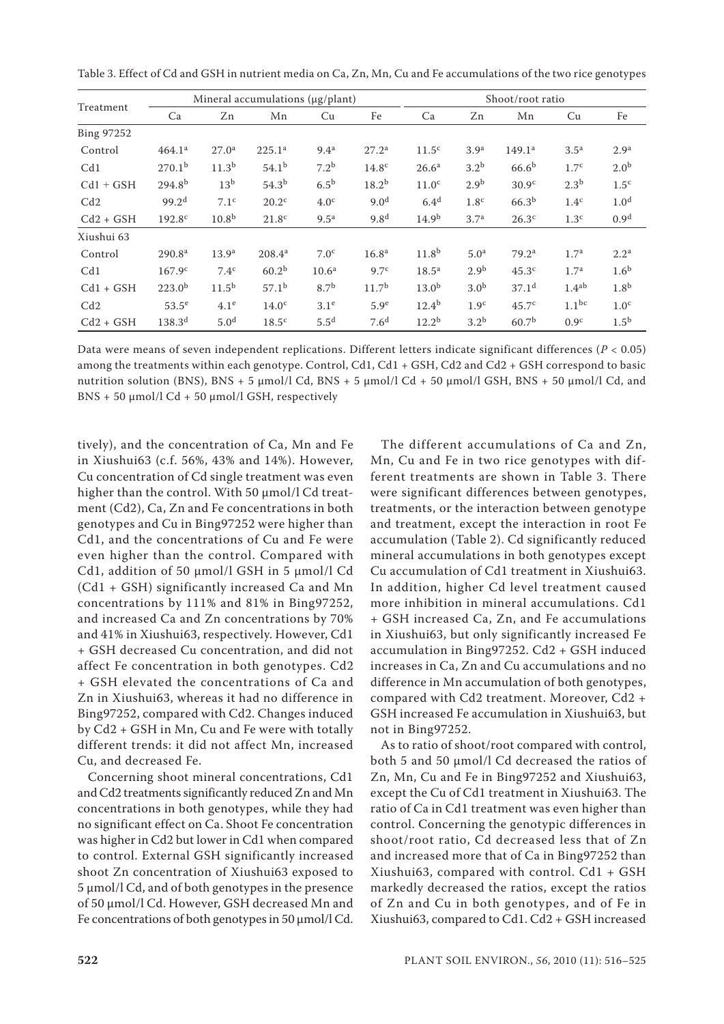| Treatment   |                    |                   | Mineral accumulations (µg/plant) |                   | Shoot/root ratio  |                   |                  |                    |                   |                  |
|-------------|--------------------|-------------------|----------------------------------|-------------------|-------------------|-------------------|------------------|--------------------|-------------------|------------------|
|             | Ca                 | Zn                | Mn                               | Cu                | Fe                | Ca                | Zn               | Mn                 | Cu                | Fe               |
| Bing 97252  |                    |                   |                                  |                   |                   |                   |                  |                    |                   |                  |
| Control     | 464.1 <sup>a</sup> | 27.0 <sup>a</sup> | $225.1^{\circ}$                  | 9.4 <sup>a</sup>  | 27.2 <sup>a</sup> | 11.5 <sup>c</sup> | 3.9 <sup>a</sup> | 149.1 <sup>a</sup> | 3.5 <sup>a</sup>  | 2.9 <sup>a</sup> |
| Cd1         | 270.1 <sup>b</sup> | 11.3 <sup>b</sup> | $54.1^{b}$                       | 7.2 <sup>b</sup>  | 14.8 <sup>c</sup> | 26.6 <sup>a</sup> | 3.2 <sup>b</sup> | 66.6 <sup>b</sup>  | 1.7 <sup>c</sup>  | 2.0 <sup>b</sup> |
| $Cd1 + GSH$ | $294.8^{b}$        | 13 <sup>b</sup>   | 54.3 <sup>b</sup>                | 6.5 <sup>b</sup>  | 18.2 <sup>b</sup> | 11.0 <sup>c</sup> | 2.9 <sup>b</sup> | 30.9 <sup>c</sup>  | 2.3 <sup>b</sup>  | 1.5 <sup>c</sup> |
| Cd2         | 99.2 <sup>d</sup>  | 7.1 <sup>c</sup>  | $20.2^{\circ}$                   | 4.0 <sup>c</sup>  | 9.0 <sup>d</sup>  | 6.4 <sup>d</sup>  | 1.8 <sup>c</sup> | 66.3 <sup>b</sup>  | 1.4 <sup>c</sup>  | 1.0 <sup>d</sup> |
| $Cd2 + GSH$ | 192.8 <sup>c</sup> | 10.8 <sup>b</sup> | 21.8 <sup>c</sup>                | 9.5 <sup>a</sup>  | 9.8 <sup>d</sup>  | 14.9 <sup>b</sup> | 3.7 <sup>a</sup> | 26.3 <sup>c</sup>  | 1.3 <sup>c</sup>  | 0.9 <sup>d</sup> |
| Xiushui 63  |                    |                   |                                  |                   |                   |                   |                  |                    |                   |                  |
| Control     | 290.8 <sup>a</sup> | 13.9 <sup>a</sup> | 208.4 <sup>a</sup>               | 7.0 <sup>c</sup>  | 16.8 <sup>a</sup> | 11.8 <sup>b</sup> | 5.0 <sup>a</sup> | 79.2 <sup>a</sup>  | 1.7 <sup>a</sup>  | 2.2 <sup>a</sup> |
| Cd1         | 167.9 <sup>c</sup> | 7.4 <sup>c</sup>  | 60.2 <sup>b</sup>                | 10.6 <sup>a</sup> | 9.7 <sup>c</sup>  | 18.5 <sup>a</sup> | 2.9 <sup>b</sup> | 45.3 <sup>c</sup>  | 1.7 <sup>a</sup>  | 1.6 <sup>b</sup> |
| $Cd1 + GSH$ | $223.0^{b}$        | $11.5^{b}$        | $57.1^{b}$                       | 8.7 <sup>b</sup>  | 11.7 <sup>b</sup> | 13.0 <sup>b</sup> | 3.0 <sup>b</sup> | 37.1 <sup>d</sup>  | 1.4 <sup>ab</sup> | 1.8 <sup>b</sup> |
| Cd2         | $53.5^e$           | 4.1 <sup>e</sup>  | 14.0 <sup>c</sup>                | 3.1 <sup>e</sup>  | 5.9 <sup>e</sup>  | $12.4^{b}$        | 1.9 <sup>c</sup> | 45.7 <sup>c</sup>  | $1.1^{bc}$        | 1.0 <sup>c</sup> |
| $Cd2 + GSH$ | $138.3^{d}$        | 5.0 <sup>d</sup>  | 18.5 <sup>c</sup>                | 5.5 <sup>d</sup>  | 7.6 <sup>d</sup>  | $12.2^{b}$        | 3.2 <sup>b</sup> | 60.7 <sup>b</sup>  | 0.9 <sup>c</sup>  | 1.5 <sup>b</sup> |

Table 3. Effect of Cd and GSH in nutrient media on Ca, Zn, Mn, Cu and Fe accumulations of the two rice genotypes

Data were means of seven independent replications. Different letters indicate significant differences (*P* < 0.05) among the treatments within each genotype. Control, Cd1, Cd1 + GSH, Cd2 and Cd2 + GSH correspond to basic nutrition solution (BNS), BNS + 5  $\mu$ mol/l Cd, BNS + 5  $\mu$ mol/l Cd + 50  $\mu$ mol/l GSH, BNS + 50  $\mu$ mol/l Cd, and  $BNS + 50 \mu mol/l Cd + 50 \mu mol/l GSH$ , respectively

tively), and the concentration of Ca, Mn and Fe in Xiushui63 (c.f. 56%, 43% and 14%). However, Cu concentration of Cd single treatment was even higher than the control. With 50 μmol/l Cd treatment (Cd2), Ca, Zn and Fe concentrations in both genotypes and Cu in Bing97252 were higher than Cd1, and the concentrations of Cu and Fe were even higher than the control. Compared with Cd1, addition of 50 μmol/l GSH in 5 μmol/l Cd (Cd1 + GSH) significantly increased Ca and Mn concentrations by 111% and 81% in Bing97252, and increased Ca and Zn concentrations by 70% and 41% in Xiushui63, respectively. However, Cd1 + GSH decreased Cu concentration, and did not affect Fe concentration in both genotypes. Cd2 + GSH elevated the concentrations of Ca and Zn in Xiushui63, whereas it had no difference in Bing97252, compared with Cd2. Changes induced by Cd2 + GSH in Mn, Cu and Fe were with totally different trends: it did not affect Mn, increased Cu, and decreased Fe.

Concerning shoot mineral concentrations, Cd1 and Cd2 treatments significantly reduced Zn and Mn concentrations in both genotypes, while they had no significant effect on Ca. Shoot Fe concentration was higher in Cd2 but lower in Cd1 when compared to control. External GSH significantly increased shoot Zn concentration of Xiushui63 exposed to 5 μmol/l Cd, and of both genotypes in the presence of 50 μmol/l Cd. However, GSH decreased Mn and Fe concentrations of both genotypes in 50 μmol/l Cd.

The different accumulations of Ca and Zn, Mn, Cu and Fe in two rice genotypes with different treatments are shown in Table 3. There were significant differences between genotypes, treatments, or the interaction between genotype and treatment, except the interaction in root Fe accumulation (Table 2). Cd significantly reduced mineral accumulations in both genotypes except Cu accumulation of Cd1 treatment in Xiushui63. In addition, higher Cd level treatment caused more inhibition in mineral accumulations. Cd1 + GSH increased Ca, Zn, and Fe accumulations in Xiushui63, but only significantly increased Fe accumulation in Bing97252. Cd2 + GSH induced increases in Ca, Zn and Cu accumulations and no difference in Mn accumulation of both genotypes, compared with Cd2 treatment. Moreover, Cd2 + GSH increased Fe accumulation in Xiushui63, but not in Bing97252.

As to ratio of shoot/root compared with control, both 5 and 50 μmol/l Cd decreased the ratios of Zn, Mn, Cu and Fe in Bing97252 and Xiushui63, except the Cu of Cd1 treatment in Xiushui63. The ratio of Ca in Cd1 treatment was even higher than control. Concerning the genotypic differences in shoot/root ratio, Cd decreased less that of Zn and increased more that of Ca in Bing97252 than Xiushui63, compared with control. Cd1 + GSH markedly decreased the ratios, except the ratios of Zn and Cu in both genotypes, and of Fe in Xiushui63, compared to Cd1. Cd2 + GSH increased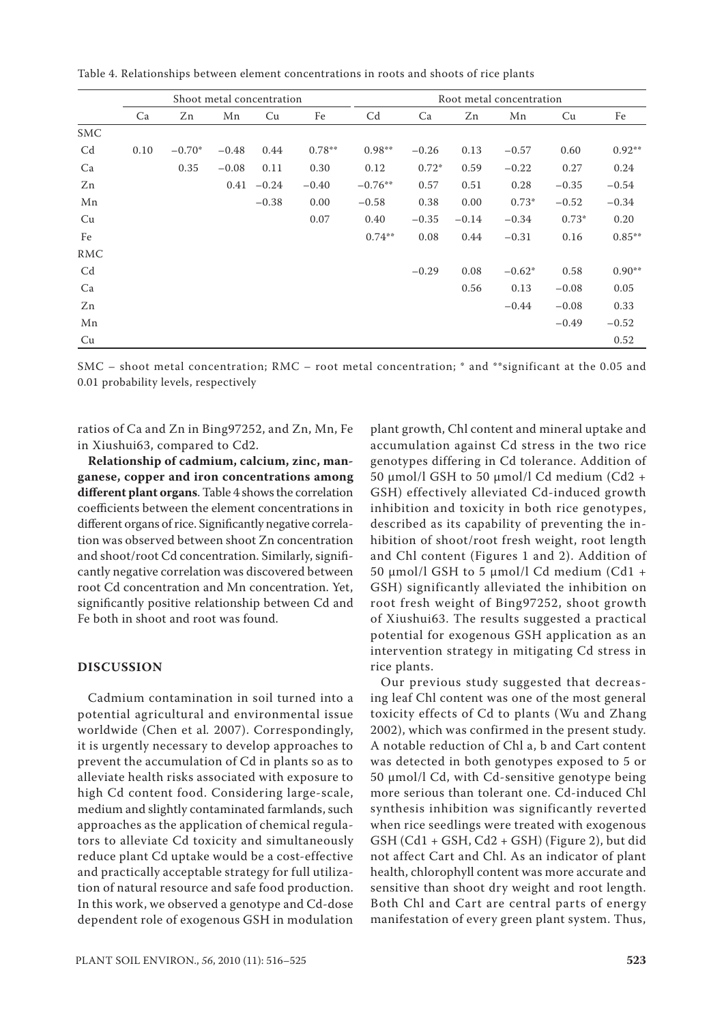|                |      |          | Shoot metal concentration |         |          | Root metal concentration |         |         |          |         |          |  |
|----------------|------|----------|---------------------------|---------|----------|--------------------------|---------|---------|----------|---------|----------|--|
|                | Ca   | Zn       | Mn                        | Cu      | Fe       | C <sub>d</sub>           | Ca      | Zn      | Mn       | Cu      | Fe       |  |
| <b>SMC</b>     |      |          |                           |         |          |                          |         |         |          |         |          |  |
| Cd             | 0.10 | $-0.70*$ | $-0.48$                   | 0.44    | $0.78**$ | $0.98**$                 | $-0.26$ | 0.13    | $-0.57$  | 0.60    | $0.92**$ |  |
| Ca             |      | 0.35     | $-0.08$                   | 0.11    | 0.30     | 0.12                     | $0.72*$ | 0.59    | $-0.22$  | 0.27    | 0.24     |  |
| Zn             |      |          | 0.41                      | $-0.24$ | $-0.40$  | $-0.76**$                | 0.57    | 0.51    | 0.28     | $-0.35$ | $-0.54$  |  |
| Mn             |      |          |                           | $-0.38$ | 0.00     | $-0.58$                  | 0.38    | 0.00    | $0.73*$  | $-0.52$ | $-0.34$  |  |
| Cu             |      |          |                           |         | 0.07     | 0.40                     | $-0.35$ | $-0.14$ | $-0.34$  | $0.73*$ | 0.20     |  |
| Fe             |      |          |                           |         |          | $0.74**$                 | 0.08    | 0.44    | $-0.31$  | 0.16    | $0.85**$ |  |
| RMC            |      |          |                           |         |          |                          |         |         |          |         |          |  |
| C <sub>d</sub> |      |          |                           |         |          |                          | $-0.29$ | 0.08    | $-0.62*$ | 0.58    | $0.90**$ |  |
| Ca             |      |          |                           |         |          |                          |         | 0.56    | 0.13     | $-0.08$ | 0.05     |  |
| Zn             |      |          |                           |         |          |                          |         |         | $-0.44$  | $-0.08$ | 0.33     |  |
| Mn             |      |          |                           |         |          |                          |         |         |          | $-0.49$ | $-0.52$  |  |
| Cu             |      |          |                           |         |          |                          |         |         |          |         | 0.52     |  |

Table 4. Relationships between element concentrations in roots and shoots of rice plants

SMC – shoot metal concentration; RMC – root metal concentration; \* and \*\*significant at the 0.05 and 0.01 probability levels, respectively

ratios of Ca and Zn in Bing97252, and Zn, Mn, Fe in Xiushui63, compared to Cd2.

**Relationship of cadmium, calcium, zinc, manganese, copper and iron concentrations among different plant organs**. Table 4 shows the correlation coefficients between the element concentrations in different organs of rice. Significantly negative correlation was observed between shoot Zn concentration and shoot/root Cd concentration. Similarly, significantly negative correlation was discovered between root Cd concentration and Mn concentration. Yet, significantly positive relationship between Cd and Fe both in shoot and root was found.

#### **DISCUSSION**

Cadmium contamination in soil turned into a potential agricultural and environmental issue worldwide (Chen et al*.* 2007). Correspondingly, it is urgently necessary to develop approaches to prevent the accumulation of Cd in plants so as to alleviate health risks associated with exposure to high Cd content food. Considering large-scale, medium and slightly contaminated farmlands, such approaches as the application of chemical regulators to alleviate Cd toxicity and simultaneously reduce plant Cd uptake would be a cost-effective and practically acceptable strategy for full utilization of natural resource and safe food production. In this work, we observed a genotype and Cd-dose dependent role of exogenous GSH in modulation

plant growth, Chl content and mineral uptake and accumulation against Cd stress in the two rice genotypes differing in Cd tolerance. Addition of 50 μmol/l GSH to 50 μmol/l Cd medium (Cd2 + GSH) effectively alleviated Cd-induced growth inhibition and toxicity in both rice genotypes, described as its capability of preventing the inhibition of shoot/root fresh weight, root length and Chl content (Figures 1 and 2). Addition of 50 μmol/l GSH to 5 μmol/l Cd medium (Cd1 + GSH) significantly alleviated the inhibition on root fresh weight of Bing97252, shoot growth of Xiushui63. The results suggested a practical potential for exogenous GSH application as an intervention strategy in mitigating Cd stress in rice plants.

Our previous study suggested that decreasing leaf Chl content was one of the most general toxicity effects of Cd to plants (Wu and Zhang 2002), which was confirmed in the present study. A notable reduction of Chl a, b and Cart content was detected in both genotypes exposed to 5 or 50 μmol/l Cd, with Cd-sensitive genotype being more serious than tolerant one. Cd-induced Chl synthesis inhibition was significantly reverted when rice seedlings were treated with exogenous GSH (Cd1 + GSH, Cd2 + GSH) (Figure 2), but did not affect Cart and Chl. As an indicator of plant health, chlorophyll content was more accurate and sensitive than shoot dry weight and root length. Both Chl and Cart are central parts of energy manifestation of every green plant system. Thus,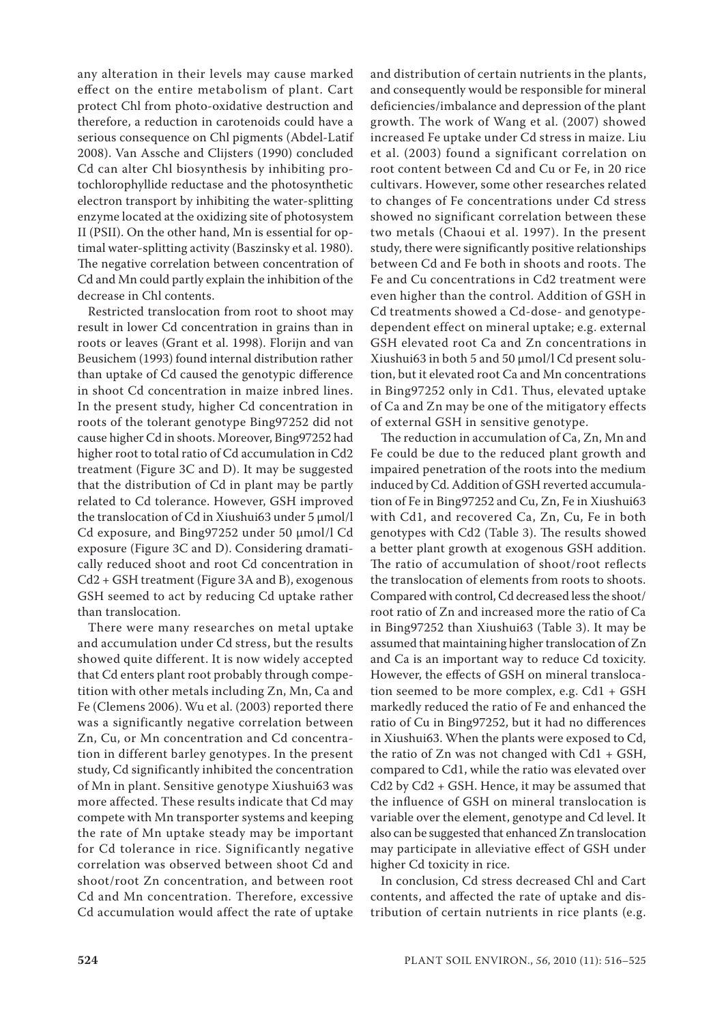any alteration in their levels may cause marked effect on the entire metabolism of plant. Cart protect Chl from photo-oxidative destruction and therefore, a reduction in carotenoids could have a serious consequence on Chl pigments (Abdel-Latif 2008). Van Assche and Clijsters (1990) concluded Cd can alter Chl biosynthesis by inhibiting protochlorophyllide reductase and the photosynthetic electron transport by inhibiting the water-splitting enzyme located at the oxidizing site of photosystem II (PSII). On the other hand, Mn is essential for optimal water-splitting activity (Baszinsky et al. 1980). The negative correlation between concentration of Cd and Mn could partly explain the inhibition of the decrease in Chl contents.

Restricted translocation from root to shoot may result in lower Cd concentration in grains than in roots or leaves (Grant et al. 1998). Florijn and van Beusichem (1993) found internal distribution rather than uptake of Cd caused the genotypic difference in shoot Cd concentration in maize inbred lines. In the present study, higher Cd concentration in roots of the tolerant genotype Bing97252 did not cause higher Cd in shoots. Moreover, Bing97252 had higher root to total ratio of Cd accumulation in Cd2 treatment (Figure 3C and D). It may be suggested that the distribution of Cd in plant may be partly related to Cd tolerance. However, GSH improved the translocation of Cd in Xiushui63 under 5 μmol/l Cd exposure, and Bing97252 under 50 μmol/l Cd exposure (Figure 3C and D). Considering dramatically reduced shoot and root Cd concentration in Cd2 + GSH treatment (Figure 3A and B), exogenous GSH seemed to act by reducing Cd uptake rather than translocation.

There were many researches on metal uptake and accumulation under Cd stress, but the results showed quite different. It is now widely accepted that Cd enters plant root probably through competition with other metals including Zn, Mn, Ca and Fe (Clemens 2006). Wu et al. (2003) reported there was a significantly negative correlation between Zn, Cu, or Mn concentration and Cd concentration in different barley genotypes. In the present study, Cd significantly inhibited the concentration of Mn in plant. Sensitive genotype Xiushui63 was more affected. These results indicate that Cd may compete with Mn transporter systems and keeping the rate of Mn uptake steady may be important for Cd tolerance in rice. Significantly negative correlation was observed between shoot Cd and shoot/root Zn concentration, and between root Cd and Mn concentration. Therefore, excessive Cd accumulation would affect the rate of uptake

and distribution of certain nutrients in the plants, and consequently would be responsible for mineral deficiencies/imbalance and depression of the plant growth. The work of Wang et al. (2007) showed increased Fe uptake under Cd stress in maize. Liu et al. (2003) found a significant correlation on root content between Cd and Cu or Fe, in 20 rice cultivars. However, some other researches related to changes of Fe concentrations under Cd stress showed no significant correlation between these two metals (Chaoui et al. 1997). In the present study, there were significantly positive relationships between Cd and Fe both in shoots and roots. The Fe and Cu concentrations in Cd2 treatment were even higher than the control. Addition of GSH in Cd treatments showed a Cd-dose- and genotypedependent effect on mineral uptake; e.g. external GSH elevated root Ca and Zn concentrations in Xiushui63 in both 5 and 50 μmol/l Cd present solution, but it elevated root Ca and Mn concentrations in Bing97252 only in Cd1. Thus, elevated uptake of Ca and Zn may be one of the mitigatory effects of external GSH in sensitive genotype.

The reduction in accumulation of Ca, Zn, Mn and Fe could be due to the reduced plant growth and impaired penetration of the roots into the medium induced by Cd. Addition of GSH reverted accumulation of Fe in Bing97252 and Cu, Zn, Fe in Xiushui63 with Cd1, and recovered Ca, Zn, Cu, Fe in both genotypes with Cd2 (Table 3). The results showed a better plant growth at exogenous GSH addition. The ratio of accumulation of shoot/root reflects the translocation of elements from roots to shoots. Compared with control, Cd decreased less the shoot/ root ratio of Zn and increased more the ratio of Ca in Bing97252 than Xiushui63 (Table 3). It may be assumed that maintaining higher translocation of Zn and Ca is an important way to reduce Cd toxicity. However, the effects of GSH on mineral translocation seemed to be more complex, e.g. Cd1 + GSH markedly reduced the ratio of Fe and enhanced the ratio of Cu in Bing97252, but it had no differences in Xiushui63. When the plants were exposed to Cd, the ratio of Zn was not changed with Cd1 + GSH, compared to Cd1, while the ratio was elevated over Cd2 by Cd2 + GSH. Hence, it may be assumed that the influence of GSH on mineral translocation is variable over the element, genotype and Cd level. It also can be suggested that enhanced Zn translocation may participate in alleviative effect of GSH under higher Cd toxicity in rice.

In conclusion, Cd stress decreased Chl and Cart contents, and affected the rate of uptake and distribution of certain nutrients in rice plants (e.g.